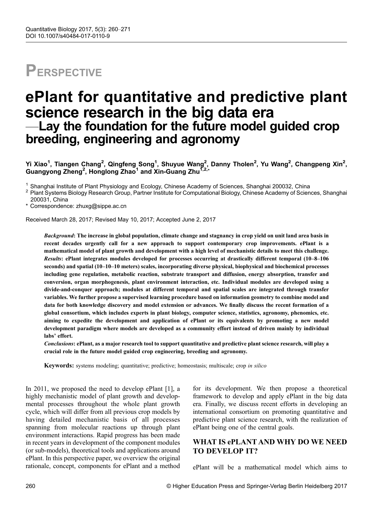# **PERSPECTIVE**

## ePlant for quantitative and predictive plant science research in the big data era —Lay the foundation for the future model guided crop breeding, engineering and agronomy

Yi Xiao<sup>1</sup>, Tiangen Chang<sup>2</sup>, Qingfeng Song<sup>1</sup>, Shuyue Wang<sup>2</sup>, Danny Tholen<sup>2</sup>, Yu Wang<sup>2</sup>, Changpeng Xin<sup>2</sup>, Guangyong Zheng<sup>2</sup>, Honglong Zhao<sup>1</sup> and Xin-Guang Zhu<sup>1,2,\*</sup>

<sup>1</sup> Shanghai Institute of Plant Physiology and Ecology, Chinese Academy of Sciences, Shanghai 200032, China<br><sup>2</sup> Plant Svstems Biology Research Group, Partner Institute for Computational Biology, Chinese Academy of Science 200031, China

\* Correspondence: zhuxg@sippe.ac.cn

Received March 28, 2017; Revised May 10, 2017; Accepted June 2, 2017

Background: The increase in global population, climate change and stagnancy in crop yield on unit land area basis in recent decades urgently call for a new approach to support contemporary crop improvements. ePlant is a mathematical model of plant growth and development with a high level of mechanistic details to meet this challenge. Results: ePlant integrates modules developed for processes occurring at drastically different temporal (10–8–106 seconds) and spatial (10–10–10 meters) scales, incorporating diverse physical, biophysical and biochemical processes including gene regulation, metabolic reaction, substrate transport and diffusion, energy absorption, transfer and conversion, organ morphogenesis, plant environment interaction, etc. Individual modules are developed using a divide-and-conquer approach; modules at different temporal and spatial scales are integrated through transfer variables. We further propose a supervised learning procedure based on information geometry to combine model and data for both knowledge discovery and model extension or advances. We finally discuss the recent formation of a global consortium, which includes experts in plant biology, computer science, statistics, agronomy, phenomics, etc. aiming to expedite the development and application of ePlant or its equivalents by promoting a new model development paradigm where models are developed as a community effort instead of driven mainly by individual labs' effort.

Conclusions: ePlant, as a major research tool to support quantitative and predictive plant science research, will play a crucial role in the future model guided crop engineering, breeding and agronomy.

**Keywords:** systems modeling; quantitative; predictive; homeostasis; multiscale; crop in silico

In 2011, we proposed the need to develop ePlant [\[1](#page-8-0)], a highly mechanistic model of plant growth and developmental processes throughout the whole plant growth cycle, which will differ from all previous crop models by having detailed mechanistic basis of all processes spanning from molecular reactions up through plant environment interactions. Rapid progress has been made in recent years in development of the component modules (or sub-models), theoretical tools and applications around ePlant. In this perspective paper, we overview the original rationale, concept, components for ePlant and a method

for its development. We then propose a theoretical framework to develop and apply ePlant in the big data era. Finally, we discuss recent efforts in developing an international consortium on promoting quantitative and predictive plant science research, with the realization of ePlant being one of the central goals.

### WHAT IS ePLANT AND WHY DO WE NEED TO DEVELOP IT?

ePlant will be a mathematical model which aims to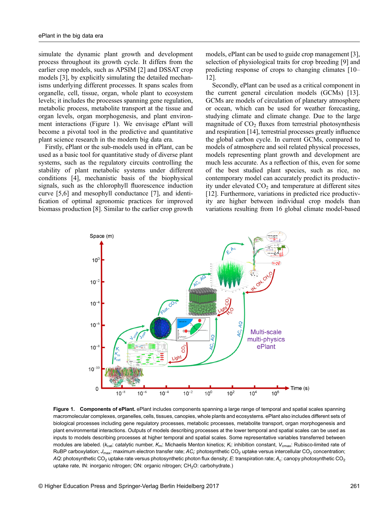simulate the dynamic plant growth and development process throughout its growth cycle. It differs from the earlier crop models, such as APSIM [\[2](#page-8-0)] and DSSAT crop models [[3\]](#page-8-0), by explicitly simulating the detailed mechanisms underlying different processes. It spans scales from organelle, cell, tissue, organ, whole plant to ecosystem levels; it includes the processes spanning gene regulation, metabolic process, metabolite transport at the tissue and organ levels, organ morphogenesis, and plant environment interactions (Figure 1). We envisage ePlant will become a pivotal tool in the predictive and quantitative plant science research in the modern big data era.

Firstly, ePlant or the sub-models used in ePlant, can be used as a basic tool for quantitative study of diverse plant systems, such as the regulatory circuits controlling the stability of plant metabolic systems under different conditions [\[4](#page-8-0)], mechanistic basis of the biophysical signals, such as the chlorophyll fluorescence induction curve [[5](#page-8-0),[6](#page-8-0)] and mesophyll conductance [\[7\]](#page-8-0), and identification of optimal agronomic practices for improved biomass production [[8\]](#page-8-0). Similar to the earlier crop growth

models, ePlant can be used to guide crop management [\[3\]](#page-8-0), selection of physiological traits for crop breeding [\[9](#page-8-0)] and predicting response of crops to changing climates [[10](#page-8-0)– [12\]](#page-8-0).

Secondly, ePlant can be used as a critical component in the current general circulation models (GCMs) [\[13\]](#page-8-0). GCMs are models of circulation of planetary atmosphere or ocean, which can be used for weather forecasting, studying climate and climate change. Due to the large magnitude of  $CO<sub>2</sub>$  fluxes from terrestrial photosynthesis and respiration [[14](#page-9-0)], terrestrial processes greatly influence the global carbon cycle. In current GCMs, compared to models of atmosphere and soil related physical processes, models representing plant growth and development are much less accurate. As a reflection of this, even for some of the best studied plant species, such as rice, no contemporary model can accurately predict its productivity under elevated  $CO<sub>2</sub>$  and temperature at different sites [[12](#page-8-0)]. Furthermore, variations in predicted rice productivity are higher between individual crop models than variations resulting from 16 global climate model-based



Figure 1. Components of ePlant. ePlant includes components spanning a large range of temporal and spatial scales spanning macromolecular complexes, organelles, cells, tissues, canopies, whole plants and ecosystems. ePlant also includes different sets of biological processes including gene regulatory processes, metabolic processes, metabolite transport, organ morphogenesis and plant environmental interactions. Outputs of models describing processes at the lower temporal and spatial scales can be used as inputs to models describing processes at higher temporal and spatial scales. Some representative variables transferred between modules are labeled. ( $k_{\rm cat}$ : catalytic number,  $K_{\rm m}$ : Michaelis Menton kinetics;  $K_{\rm i}$ : inhibition constant,  $V_{\rm cmax}$ : Rubisco-limited rate of RuBP carboxylation; J<sub>max</sub>: maximum electron transfer rate; AC<sub>i</sub>: photosynthetic CO<sub>2</sub> uptake versus intercellular CO<sub>2</sub> concentration; AQ: photosynthetic CO<sub>2</sub> uptake rate versus photosynthetic photon flux density; E: transpiration rate; A<sub>c</sub>: canopy photosynthetic CO<sub>2</sub> uptake rate, IN: inorganic nitrogen; ON: organic nitrogen; CH<sub>2</sub>O: carbohydrate.)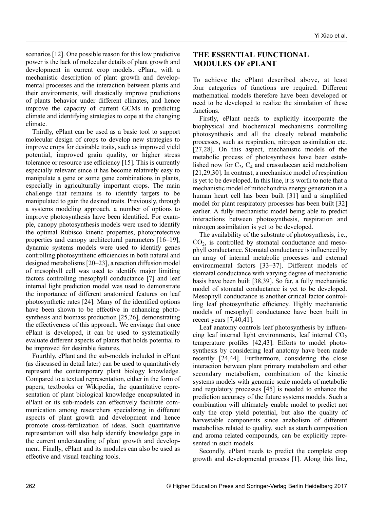scenarios [[12](#page-8-0)]. One possible reason for this low predictive power is the lack of molecular details of plant growth and development in current crop models. ePlant, with a mechanistic description of plant growth and developmental processes and the interaction between plants and their environments, will drastically improve predictions of plants behavior under different climates, and hence improve the capacity of current GCMs in predicting climate and identifying strategies to cope at the changing climate.

Thirdly, ePlant can be used as a basic tool to support molecular design of crops to develop new strategies to improve crops for desirable traits, such as improved yield potential, improved grain quality, or higher stress tolerance or resource use efficiency [\[15\]](#page-9-0). This is currently especially relevant since it has become relatively easy to manipulate a gene or some gene combinations in plants, especially in agriculturally important crops. The main challenge that remains is to identify targets to be manipulated to gain the desired traits. Previously, through a systems modeling approach, a number of options to improve photosynthesis have been identified. For example, canopy photosynthesis models were used to identify the optimal Rubisco kinetic properties, photoprotective properties and canopy architectural parameters [[16](#page-9-0)–[19\]](#page-9-0), dynamic systems models were used to identify genes controlling photosynthetic efficiencies in both natural and designed metabolisms [\[20](#page-9-0)–[23\]](#page-9-0), a reaction diffusion model of mesophyll cell was used to identify major limiting factors controlling mesophyll conductance [[7\]](#page-8-0) and leaf internal light prediction model was used to demonstrate the importance of different anatomical features on leaf photosynthetic rates [[24](#page-9-0)]. Many of the identified options have been shown to be effective in enhancing photosynthesis and biomass production [\[25,26\]](#page-9-0), demonstrating the effectiveness of this approach. We envisage that once ePlant is developed, it can be used to systematically evaluate different aspects of plants that holds potential to be improved for desirable features.

Fourthly, ePlant and the sub-models included in ePlant (as discussed in detail later) can be used to quantitatively represent the contemporary plant biology knowledge. Compared to a textual representation, either in the form of papers, textbooks or Wikipedia, the quantitative representation of plant biological knowledge encapsulated in ePlant or its sub-models can effectively facilitate communication among researchers specializing in different aspects of plant growth and development and hence promote cross-fertilization of ideas. Such quantitative representation will also help identify knowledge gaps in the current understanding of plant growth and development. Finally, ePlant and its modules can also be used as effective and visual teaching tools.

## THE ESSENTIAL FUNCTIONAL MODULES OF ePLANT

To achieve the ePlant described above, at least four categories of functions are required. Different mathematical models therefore have been developed or need to be developed to realize the simulation of these functions.

Firstly, ePlant needs to explicitly incorporate the biophysical and biochemical mechanisms controlling photosynthesis and all the closely related metabolic processes, such as respiration, nitrogen assimilation etc. [\[27,28\]](#page-9-0). On this aspect, mechanistic models of the metabolic process of photosynthesis have been established now for  $C_3$ ,  $C_4$  and crassulacean acid metabolism [\[21,29,30\]](#page-9-0). In contrast, a mechanistic model of respiration is yet to be developed. In this line, it is worth to note that a mechanistic model of mitochondria energy generation in a human heart cell has been built [\[31\]](#page-9-0) and a simplified model for plant respiratory processes has been built [[32](#page-9-0)] earlier. A fully mechanistic model being able to predict interactions between photosynthesis, respiration and nitrogen assimilation is yet to be developed.

The availability of the substrate of photosynthesis, i.e.,  $CO<sub>2</sub>$ , is controlled by stomatal conductance and mesophyll conductance. Stomatal conductance is influenced by an array of internal metabolic processes and external environmental factors [[33](#page-9-0)–[37](#page-9-0)]. Different models of stomatal conductance with varying degree of mechanistic basis have been built [\[38,39\]](#page-9-0). So far, a fully mechanistic model of stomatal conductance is yet to be developed. Mesophyll conductance is another critical factor controlling leaf photosynthetic efficiency. Highly mechanistic models of mesophyll conductance have been built in recent years [\[7](#page-8-0)[,40,41\]](#page-9-0).

Leaf anatomy controls leaf photosynthesis by influencing leaf internal light environments, leaf internal  $CO<sub>2</sub>$ temperature profiles [\[42,43\]](#page-10-0). Efforts to model photosynthesis by considering leaf anatomy have been made recently [\[24,](#page-9-0)[44](#page-10-0)]. Furthermore, considering the close interaction between plant primary metabolism and other secondary metabolism, combination of the kinetic systems models with genomic scale models of metabolic and regulatory processes [\[45\]](#page-10-0) is needed to enhance the prediction accuracy of the future systems models. Such a combination will ultimately enable model to predict not only the crop yield potential, but also the quality of harvestable components since anabolism of different metabolites related to quality, such as starch composition and aroma related compounds, can be explicitly represented in such models.

Secondly, ePlant needs to predict the complete crop growth and developmental process [\[1\]](#page-8-0). Along this line,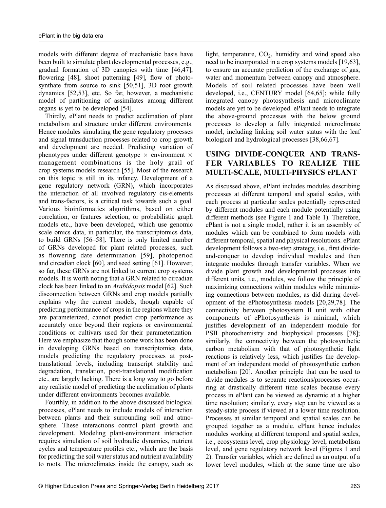models with different degree of mechanistic basis have been built to simulate plant developmental processes, e.g., gradual formation of 3D canopies with time [\[46,47\]](#page-10-0), flowering [\[48\]](#page-10-0), shoot patterning [[49](#page-10-0)], flow of photosynthate from source to sink [[50,51](#page-10-0)], 3D root growth dynamics [[52](#page-10-0),[53](#page-10-0)], etc. So far, however, a mechanistic model of partitioning of assimilates among different organs is yet to be developed [\[54\]](#page-10-0).

Thirdly, ePlant needs to predict acclimation of plant metabolism and structure under different environments. Hence modules simulating the gene regulatory processes and signal transduction processes related to crop growth and development are needed. Predicting variation of phenotypes under different genotype  $\times$  environment  $\times$ management combinations is the holy grail of crop systems models research [\[55\]](#page-10-0). Most of the research on this topic is still in its infancy. Development of a gene regulatory network (GRN), which incorporates the interaction of all involved regulatory cis-elements and trans-factors, is a critical task towards such a goal. Various bioinformatics algorithms, based on either correlation, or features selection, or probabilistic graph models etc., have been developed, which use genomic scale omics data, in particular, the transcriptomics data, to build GRNs [\[56](#page-10-0)–[58](#page-10-0)]. There is only limited number of GRNs developed for plant related processes, such as flowering date determination [[59](#page-10-0)], photoperiod and circadian clock [\[60\]](#page-10-0), and seed setting [\[61\]](#page-10-0). However, so far, these GRNs are not linked to current crop systems models. It is worth noting that a GRN related to circadian clock has been linked to an Arabidopsis model [[62](#page-10-0)]. Such disconnection between GRNs and crop models partially explains why the current models, though capable of predicting performance of crops in the regions where they are parameterized, cannot predict crop performance as accurately once beyond their regions or environmental conditions or cultivars used for their parameterization. Here we emphasize that though some work has been done in developing GRNs based on transcriptomics data, models predicting the regulatory processes at posttranslational levels, including transcript stability and degradation, translation, post-translational modification etc., are largely lacking. There is a long way to go before any realistic model of predicting the acclimation of plants under different environments becomes available.

Fourthly, in addition to the above discussed biological processes, ePlant needs to include models of interaction between plants and their surrounding soil and atmosphere. These interactions control plant growth and development. Modeling plant-environment interaction requires simulation of soil hydraulic dynamics, nutrient cycles and temperature profiles etc., which are the basis for predicting the soil water status and nutrient availability to roots. The microclimates inside the canopy, such as

light, temperature,  $CO<sub>2</sub>$ , humidity and wind speed also need to be incorporated in a crop systems models [\[19,](#page-9-0)[63\]](#page-10-0), to ensure an accurate prediction of the exchange of gas, water and momentum between canopy and atmosphere. Models of soil related processes have been well developed, i.e., CENTURY model [\[64,65\]](#page-10-0); while fully integrated canopy photosynthesis and microclimate models are yet to be developed. ePlant needs to integrate the above-ground processes with the below ground processes to develop a fully integrated microclimate model, including linking soil water status with the leaf biological and hydrological processes [[38](#page-9-0),[66](#page-10-0),[67](#page-10-0)].

## USING DIVIDE-CONQUER AND TRANS-FER VARIABLES TO REALIZE THE MULTI-SCALE, MULTI-PHYSICS ePLANT

As discussed above, ePlant includes modules describing processes at different temporal and spatial scales, with each process at particular scales potentially represented by different modules and each module potentially using different methods (see Figure 1 and Table 1). Therefore, ePlant is not a single model, rather it is an assembly of modules which can be combined to form models with different temporal, spatial and physical resolutions. ePlant development follows a two-step strategy, i.e., first divideand-conquer to develop individual modules and then integrate modules through transfer variables. When we divide plant growth and developmental processes into different units, i.e., modules, we follow the principle of maximizing connections within modules while minimizing connections between modules, as did during development of the ePhotosynthesis models [\[20,29,](#page-9-0)[78](#page-11-0)]. The connectivity between photosystem II unit with other components of ePhotosynthesis is minimal, which justifies development of an independent module for PSII photochemistry and biophysical processes [[78](#page-11-0)]; similarly, the connectivity between the photosynthetic carbon metabolism with that of photosynthetic light reactions is relatively less, which justifies the development of an independent model of photosynthetic carbon metabolism [\[20\]](#page-9-0). Another principle that can be used to divide modules is to separate reactions/processes occurring at drastically different time scales because every process in ePlant can be viewed as dynamic at a higher time resolution; similarly, every step can be viewed as a steady-state process if viewed at a lower time resolution. Processes at similar temporal and spatial scales can be grouped together as a module. ePlant hence includes modules working at different temporal and spatial scales, i.e., ecosystems level, crop physiology level, metabolism level, and gene regulatory network level (Figures 1 and 2). Transfer variables, which are defined as an output of a lower level modules, which at the same time are also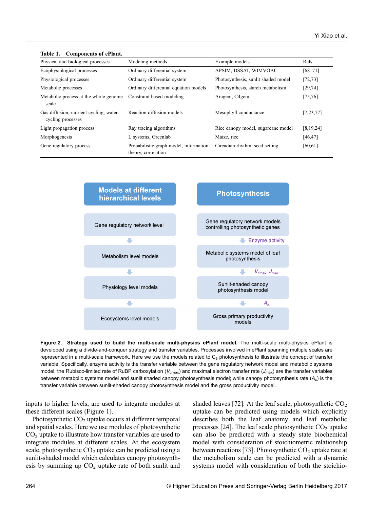Table 1. Components of ePlant.

| Physical and biological processes                           | Modeling methods                                              | Example models                      | Refs.       |
|-------------------------------------------------------------|---------------------------------------------------------------|-------------------------------------|-------------|
| Ecophysiological processes                                  | Ordinary differential system                                  | APSIM, DSSAT, WIMVOAC               | $[68 - 71]$ |
| Physiological processes                                     | Ordinary differential system                                  | Photosynthesis, sunlit shaded model | [72, 73]    |
| Metabolic processes                                         | Ordinary differential equation models                         | Photosynthesis, starch metabolism   | [29, 74]    |
| Metabolic process at the whole genome<br>scale              | Constraint based modeling                                     | Aragem, C4gem                       | [75, 76]    |
| Gas diffusion, nutrient cycling, water<br>cycling processes | Reaction diffusion models                                     | Mesophyll conductance               | [7, 23, 77] |
| Light propagation process                                   | Ray tracing algorithms                                        | Rice canopy model, sugarcane model  | [8, 19, 24] |
| Morphogenesis                                               | L systems, Greenlab                                           | Maize, rice                         | [46, 47]    |
| Gene regulatory process                                     | Probabilistic graph model, information<br>theory, correlation | Circadian rhythm, seed setting      | [60, 61]    |



Figure 2. Strategy used to build the multi-scale multi-physics ePlant model. The multi-scale multi-physics ePlant is developed using a divide-and-conquer strategy and transfer variables. Processes involved in ePlant spanning multiple scales are represented in a multi-scale framework. Here we use the models related to  $C_3$  photosynthesis to illustrate the concept of transfer variable. Specifically, enzyme activity is the transfer variable between the gene regulatory network model and metabolic systems model, the Rubisco-limited rate of RuBP carboxylation ( $V_{\text{cmax}}$ ) and maximal electron transfer rate ( $J_{\text{max}}$ ) are the transfer variables between metabolic systems model and sunlit shaded canopy photosynthesis model; while canopy photosynthesis rate  $(A<sub>c</sub>)$  is the transfer variable between sunlit-shaded canopy photosynthesis model and the gross productivity model.

inputs to higher levels, are used to integrate modules at these different scales (Figure 1).

Photosynthetic  $CO<sub>2</sub>$  uptake occurs at different temporal and spatial scales. Here we use modules of photosynthetic  $CO<sub>2</sub>$  uptake to illustrate how transfer variables are used to integrate modules at different scales. At the ecosystem scale, photosynthetic  $CO<sub>2</sub>$  uptake can be predicted using a sunlit-shaded model which calculates canopy photosynthesis by summing up  $CO<sub>2</sub>$  uptake rate of both sunlit and

shaded leaves [\[72\]](#page-11-0). At the leaf scale, photosynthetic  $CO<sub>2</sub>$ uptake can be predicted using models which explicitly describes both the leaf anatomy and leaf metabolic processes [\[24\]](#page-9-0). The leaf scale photosynthetic  $CO<sub>2</sub>$  uptake can also be predicted with a steady state biochemical model with consideration of stoichiometric relationship between reactions [\[73\]](#page-11-0). Photosynthetic  $CO<sub>2</sub>$  uptake rate at the metabolism scale can be predicted with a dynamic systems model with consideration of both the stoichio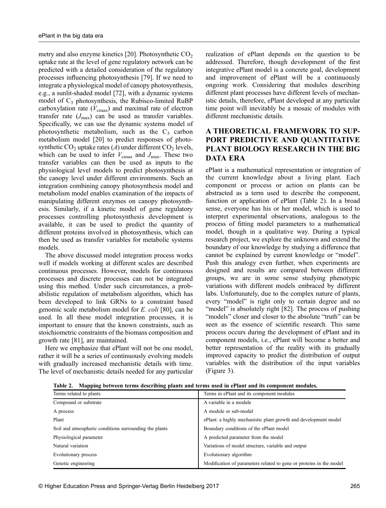metry and also enzyme kinetics [[20](#page-9-0)]. Photosynthetic  $CO<sub>2</sub>$ uptake rate at the level of gene regulatory network can be predicted with a detailed consideration of the regulatory processes influencing photosynthesis [\[79\]](#page-11-0). If we need to integrate a physiological model of canopy photosynthesis, e.g., a sunlit-shaded model [[72](#page-11-0)], with a dynamic systems model of  $C_3$  photosynthesis, the Rubisco-limited RuBP carboxylation rate  $(V_{\text{cmax}})$  and maximal rate of electron transfer rate  $(J_{\text{max}})$  can be used as transfer variables. Specifically, we can use the dynamic systems model of photosynthetic metabolism, such as the  $C_3$  carbon metabolism model [[20](#page-9-0)] to predict responses of photosynthetic  $CO<sub>2</sub>$  uptake rates (A) under different  $CO<sub>2</sub>$  levels, which can be used to infer  $V_{\text{cmax}}$  and  $J_{\text{max}}$ . These two transfer variables can then be used as inputs to the physiological level models to predict photosynthesis at the canopy level under different environments. Such an integration combining canopy photosynthesis model and metabolism model enables examination of the impacts of manipulating different enzymes on canopy photosynthesis. Similarly, if a kinetic model of gene regulatory processes controlling photosynthesis development is available, it can be used to predict the quantity of different proteins involved in photosynthesis, which can then be used as transfer variables for metabolic systems models.

The above discussed model integration process works well if models working at different scales are described continuous processes. However, models for continuous processes and discrete processes can not be integrated using this method. Under such circumstances, a probabilistic regulation of metabolism algorithm, which has been developed to link GRNs to a constraint based genomic scale metabolism model for E. coli [[80](#page-11-0)], can be used. In all these model integration processes, it is important to ensure that the known constraints, such as stoichiometric constraints of the biomass composition and growth rate [[81](#page-11-0)], are maintained.

Here we emphasize that ePlant will not be one model, rather it will be a series of continuously evolving models with gradually increased mechanistic details with time. The level of mechanistic details needed for any particular realization of ePlant depends on the question to be addressed. Therefore, though development of the first integrative ePlant model is a concrete goal, development and improvement of ePlant will be a continuously ongoing work. Considering that modules describing different plant processes have different levels of mechanistic details, therefore, ePlant developed at any particular time point will inevitably be a mosaic of modules with different mechanistic details.

### A THEORETICAL FRAMEWORK TO SUP-PORT PREDICTIVE AND QUANTITATIVE PLANT BIOLOGY RESEARCH IN THE BIG DATA ERA

ePlant is a mathematical representation or integration of the current knowledge about a living plant. Each component or process or action on plants can be abstracted as a term used to describe the component, function or application of ePlant (Table 2). In a broad sense, everyone has his or her model, which is used to interpret experimental observations, analogous to the process of fitting model parameters to a mathematical model, though in a qualitative way. During a typical research project, we explore the unknown and extend the boundary of our knowledge by studying a difference that cannot be explained by current knowledge or "model". Push this analogy even further, when experiments are designed and results are compared between different groups, we are in some sense studying phenotypic variations with different models embraced by different labs. Unfortunately, due to the complex nature of plants, every "model" is right only to certain degree and no "model" is absolutely right [[82](#page-11-0)]. The process of pushing "models" closer and closer to the absolute "truth" can be seen as the essence of scientific research. This same process occurs during the development of ePlant and its component models, i.e., ePlant will become a better and better representation of the reality with its gradually improved capacity to predict the distribution of output variables with the distribution of the input variables (Figure 3).

| Terms related to plants                                | Terms in ePlant and its component modules                           |  |
|--------------------------------------------------------|---------------------------------------------------------------------|--|
| Compound or substrate                                  | A variable in a module                                              |  |
| A process                                              | A module or sub-model                                               |  |
| Plant                                                  | ePlant: a highly mechanistic plant growth and development model     |  |
| Soil and atmospheric conditions surrounding the plants | Boundary conditions of the ePlant model                             |  |
| Physiological parameter                                | A predicted parameter from the model                                |  |
| Natural variation                                      | Variations of model structure, variable and output                  |  |
| Evolutionary process                                   | Evolutionary algorithm                                              |  |
| Genetic engineering                                    | Modification of parameters related to gene or proteins in the model |  |

Table 2. Mapping between terms describing plants and terms used in ePlant and its component modules.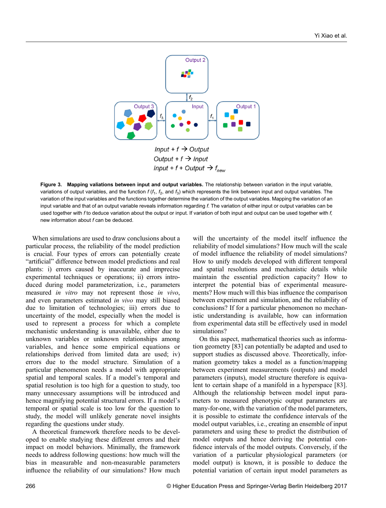

Input + f + Output  $\rightarrow$  f<sub>new</sub>

Figure 3. Mapping valiations between input and output variables. The relationship between variation in the input variable, variations of output variables, and the function  $f(f_1, f_2,$  and  $f_3)$  which represents the link between input and output variables. The variation of the input variables and the functions together determine the variation of the output variables. Mapping the variation of an input variable and that of an output variable reveals information regarding f. The variation of either input or output variables can be used together with f to deduce variation about the output or input. If variation of both input and output can be used together with f, new information about f can be deduced.

When simulations are used to draw conclusions about a particular process, the reliability of the model prediction is crucial. Four types of errors can potentially create "artificial" difference between model predictions and real plants: i) errors caused by inaccurate and imprecise experimental techniques or operations; ii) errors introduced during model parameterization, i.e., parameters measured in vitro may not represent those in vivo, and even parameters estimated in vivo may still biased due to limitation of technologies; iii) errors due to uncertainty of the model, especially when the model is used to represent a process for which a complete mechanistic understanding is unavailable, either due to unknown variables or unknown relationships among variables, and hence some empirical equations or relationships derived from limited data are used; iv) errors due to the model structure. Simulation of a particular phenomenon needs a model with appropriate spatial and temporal scales. If a model's temporal and spatial resolution is too high for a question to study, too many unnecessary assumptions will be introduced and hence magnifying potential structural errors. If a model's temporal or spatial scale is too low for the question to study, the model will unlikely generate novel insights regarding the questions under study.

A theoretical framework therefore needs to be developed to enable studying these different errors and their impact on model behaviors. Minimally, the framework needs to address following questions: how much will the bias in measurable and non-measurable parameters influence the reliability of our simulations? How much

will the uncertainty of the model itself influence the reliability of model simulations? How much will the scale of model influence the reliability of model simulations? How to unify models developed with different temporal and spatial resolutions and mechanistic details while maintain the essential prediction capacity? How to interpret the potential bias of experimental measurements? How much will this bias influence the comparison between experiment and simulation, and the reliability of conclusions? If for a particular phenomenon no mechanistic understanding is available, how can information from experimental data still be effectively used in model simulations?

On this aspect, mathematical theories such as information geometry [\[83\]](#page-11-0) can potentially be adapted and used to support studies as discussed above. Theoretically, information geometry takes a model as a function/mapping between experiment measurements (outputs) and model parameters (inputs), model structure therefore is equivalent to certain shape of a manifold in a hyperspace [\[83\]](#page-11-0). Although the relationship between model input parameters to measured phenotypic output parameters are many-for-one, with the variation of the model parameters, it is possible to estimate the confidence intervals of the model output variables, i.e., creating an ensemble of input parameters and using these to predict the distribution of model outputs and hence deriving the potential confidence intervals of the model outputs. Conversely, if the variation of a particular physiological parameters (or model output) is known, it is possible to deduce the potential variation of certain input model parameters as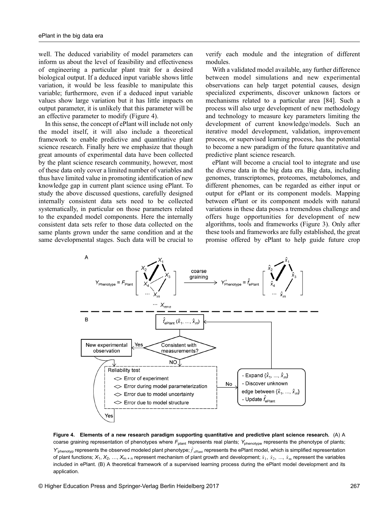well. The deduced variability of model parameters can inform us about the level of feasibility and effectiveness of engineering a particular plant trait for a desired biological output. If a deduced input variable shows little variation, it would be less feasible to manipulate this variable; furthermore, even if a deduced input variable values show large variation but it has little impacts on output parameter, it is unlikely that this parameter will be an effective parameter to modify (Figure 4).

In this sense, the concept of ePlant will include not only the model itself, it will also include a theoretical framework to enable predictive and quantitative plant science research. Finally here we emphasize that though great amounts of experimental data have been collected by the plant science research community, however, most of these data only cover a limited number of variables and thus have limited value in promoting identification of new knowledge gap in current plant science using ePlant. To study the above discussed questions, carefully designed internally consistent data sets need to be collected systematically, in particular on those parameters related to the expanded model components. Here the internally consistent data sets refer to those data collected on the same plants grown under the same condition and at the same developmental stages. Such data will be crucial to verify each module and the integration of different modules.

With a validated model available, any further difference between model simulations and new experimental observations can help target potential causes, design specialized experiments, discover unknown factors or mechanisms related to a particular area [[84](#page-11-0)]. Such a process will also urge development of new methodology and technology to measure key parameters limiting the development of current knowledge/models. Such an iterative model development, validation, improvement process, or supervised learning process, has the potential to become a new paradigm of the future quantitative and predictive plant science research.

ePlant will become a crucial tool to integrate and use the diverse data in the big data era. Big data, including genomes, transcriptomes, proteomes, metabolomes, and different phenomes, can be regarded as either input or output for ePlant or its component models. Mapping between ePlant or its component models with natural variations in these data poses a tremendous challenge and offers huge opportunities for development of new algorithms, tools and frameworks (Figure 3). Only after these tools and frameworks are fully established, the great promise offered by ePlant to help guide future crop



Figure 4. Elements of a new research paradigm supporting quantitative and predictive plant science research. (A) A coarse graining representation of phenotypes where  $F_{\text{plant}}$  represents real plants;  $Y_{\text{phenotype}}$  represents the phenotype of plants;  $Y'_{\text{phenotyp}}$  represents the observed modeled plant phenotype;  $\hat{f}_{\text{ePlant}}$  represents the ePlant model, which is simplified representation of plant functions;  $X_1, X_2, ..., X_{m+n}$  represent mechanism of plant growth and development;  $\hat{x}_1, \hat{x}_2, ..., \hat{x}_m$  represent the variables included in ePlant. (B) A theoretical framework of a supervised learning process during the ePlant model development and its application.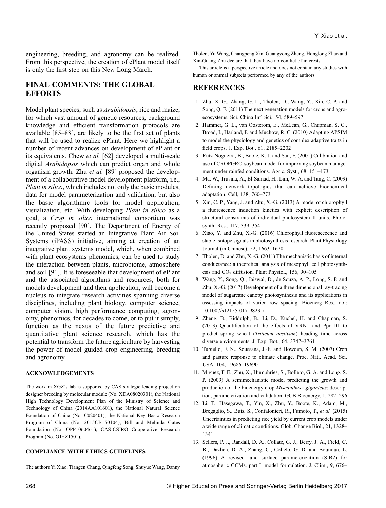<span id="page-8-0"></span>engineering, breeding, and agronomy can be realized. From this perspective, the creation of ePlant model itself is only the first step on this New Long March.

#### FINAL COMMENTS: THE GLOBAL **EFFORTS**

Model plant species, such as Arabidopsis, rice and maize, for which vast amount of genetic resources, background knowledge and efficient transformation protocols are available [\[85](#page-11-0)–[88](#page-11-0)], are likely to be the first set of plants that will be used to realize ePlant. Here we highlight a number of recent advances on development of ePlant or its equivalents. Chew et al. [\[62\]](#page-10-0) developed a multi-scale digital Arabidopsis which can predict organ and whole organism growth. Zhu et al. [\[89\]](#page-11-0) proposed the development of a collaborative model development platform, i.e., Plant in silico, which includes not only the basic modules, data for model parameterization and validation, but also the basic algorithmic tools for model application, visualization, etc. With developing Plant in silico as a goal, a Crop in silico international consortium was recently proposed [\[90\]](#page-11-0). The Department of Energy of the United States started an Integrative Plant Air Soil Systems (iPASS) initiative, aiming at creation of an integrative plant systems model, which, when combined with plant ecosystems phenomics, can be used to study the interaction between plants, microbiome, atmosphere and soil [[91\]](#page-11-0). It is foreseeable that development of ePlant and the associated algorithms and resources, both for models development and their application, will become a nucleus to integrate research activities spanning diverse disciplines, including plant biology, computer science, computer vision, high performance computing, agronomy, phenomics, for decades to come, or to put it simply, function as the nexus of the future predictive and quantitative plant science research, which has the potential to transform the future agriculture by harvesting the power of model guided crop engineering, breeding and agronomy.

#### ACKNOWLEDGEMENTS

The work in XGZ's lab is supported by CAS strategic leading project on designer breeding by molecular module (No. XDA08020301), the National High Technology Development Plan of the Ministry of Science and Technology of China (2014AA101601), the National Natural Science Foundation of China (No. C020401), the National Key Basic Research Program of China (No. 2015CB150104), Bill and Melinda Gates Foundation (No. OPP1060461), CAS-CSIRO Cooperative Research Program (No. GJHZ1501).

#### COMPLIANCE WITH ETHICS GUIDELINES

The authors Yi Xiao, Tiangen Chang, Qingfeng Song, Shuyue Wang, Danny

Tholen, Yu Wang, Changpeng Xin, Guangyong Zheng, Honglong Zhao and Xin-Guang Zhu declare that they have no conflict of interests.

This article is a perspective article and does not contain any studies with human or animal subjects performed by any of the authors.

#### **REFERENCES**

- 1. Zhu, X.-G., Zhang, G. L., Tholen, D., Wang, Y., Xin, C. P. and Song, Q. F. (2011) The next generation models for crops and agroecosystems. Sci. China Inf. Sci., 54, 589–597
- 2. Hammer, G. L., van Oosterom, E., McLean, G., Chapman, S. C., Broad, I., Harland, P. and Muchow, R. C. (2010) Adapting APSIM to model the physiology and genetics of complex adaptive traits in field crops. J. Exp. Bot., 61, 2185–2202
- 3. Ruíz-Nogueira, B., Boote, K. J. and Sau, F. (2001) Calibration and use of CROPGRO-soybean model for improving soybean management under rainfed conditions. Agric. Syst., 68, 151–173
- 4. Ma, W., Trusina, A., El-Samad, H., Lim, W. A. and Tang, C. (2009) Defining network topologies that can achieve biochemical adaptation. Cell, 138, 760–773
- 5. Xin, C. P., Yang, J. and Zhu, X.-G. (2013) A model of chlorophyll a fluorescence induction kinetics with explicit description of structural constraints of individual photosystem II units. Photosynth. Res., 117, 339–354
- 6. Xiao, Y. and Zhu, X.-G. (2016) Chlorophyll fluorescecence and stable isotope signals in photosynthesis research. Plant Physiology Journal (in Chinese), 52, 1663–1670
- 7. Tholen, D. and Zhu, X.-G. (2011) The mechanistic basis of internal conductance: a theoretical analysis of mesophyll cell photosynthesis and CO<sub>2</sub> diffusion. Plant Physiol., 156, 90-105
- 8. Wang, Y., Song, Q., Jaiswal, D., de Souza, A. P., Long, S. P. and Zhu, X.-G. (2017) Development of a three dimensional ray-tracing model of sugarcane canopy photosynthesis and its applications in assessing impacts of varied row spacing. Bioenerg Res., doi: 10.1007/s12155-017-9823-x
- 9. Zheng, B., Biddulph, B., Li, D., Kuchel, H. and Chapman, S. (2013) Quantification of the effects of VRN1 and Ppd-D1 to predict spring wheat (Triticum aestivum) heading time across diverse environments. J. Exp. Bot., 64, 3747–3761
- 10. Tubiello, F. N., Soussana, J.-F. and Howden, S. M. (2007) Crop and pasture response to climate change. Proc. Natl. Acad. Sci. USA, 104, 19686–19690
- 11. Miguez, F. E., Zhu, X., Humphries, S., Bollero, G. A. and Long, S. P. (2009) A semimechanistic model predicting the growth and production of the bioenergy crop  $Miscanthus \times giganteus$ : description, parameterization and validation. GCB Bioenergy, 1, 282–296
- 12. Li, T., Hasegawa, T., Yin, X., Zhu, Y., Boote, K., Adam, M., Bregaglio, S., Buis, S., Confalonieri, R., Fumoto, T., et al. (2015) Uncertainties in predicting rice yield by current crop models under a wide range of climatic conditions. Glob. Change Biol., 21, 1328– 1341
- 13. Sellers, P. J., Randall, D. A., Collatz, G. J., Berry, J. A., Field, C. B., Dazlich, D. A., Zhang, C., Collelo, G. D. and Bounoua, L. (1996) A revised land surface parameterization (SiB2) for atmospheric GCMs. part I: model formulation. J. Clim., 9, 676–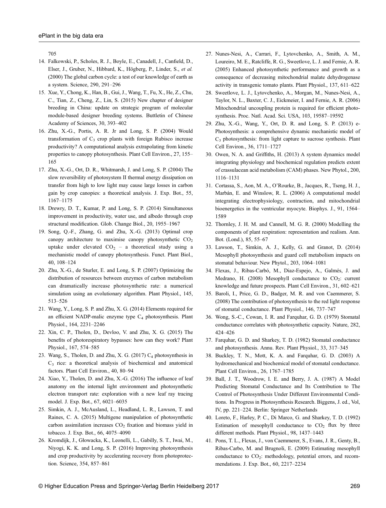<span id="page-9-0"></span>705

- 14. Falkowski, P., Scholes, R. J., Boyle, E., Canadell, J., Canfield, D., Elser, J., Gruber, N., Hibbard, K., Högberg, P., Linder, S., et al. (2000) The global carbon cycle: a test of our knowledge of earth as a system. Science, 290, 291–296
- 15. Xue, Y., Chong, K., Han, B., Gui, J., Wang, T., Fu, X., He, Z., Chu, C., Tian, Z., Cheng, Z., Lin, S. (2015) New chapter of designer breeding in China: update on strategic program of molecular module-based designer breeding systems. Buttletin of Chinese Academy of Sciences, 30, 393–402
- 16. Zhu, X.-G., Portis, A. R. Jr and Long, S. P. (2004) Would transformation of  $C_3$  crop plants with foreign Rubisco increase productivity? A computational analysis extrapolating from kinetic properties to canopy photosynthesis. Plant Cell Environ., 27, 155– 165
- 17. Zhu, X.-G., Ort, D. R., Whitmarsh, J. and Long, S. P. (2004) The slow reversibility of photosystem II thermal energy dissipation on transfer from high to low light may cause large losses in carbon gain by crop canopies: a theoretical analysis. J. Exp. Bot., 55, 1167–1175
- 18. Drewry, D. T., Kumar, P. and Long, S. P. (2014) Simultaneous improvement in productivity, water use, and albedo through crop structural modification. Glob. Change Biol., 20, 1955–1967
- 19. Song, Q.-F., Zhang, G. and Zhu, X.-G. (2013) Optimal crop canopy architecture to maximise canopy photosynthetic  $CO<sub>2</sub>$ uptake under elevated  $CO<sub>2</sub>$  – a theoretical study using a mechanistic model of canopy photosynthesis. Funct. Plant Biol., 40, 108–124
- 20. Zhu, X.-G., de Sturler, E. and Long, S. P. (2007) Optimizing the distribution of resources between enzymes of carbon metabolism can dramatically increase photosynthetic rate: a numerical simulation using an evolutionary algorithm. Plant Physiol., 145, 513–526
- 21. Wang, Y., Long, S. P. and Zhu, X. G. (2014) Elements required for an efficient NADP-malic enzyme type  $C_4$  photosynthesis. Plant Physiol., 164, 2231–2246
- 22. Xin, C. P., Tholen, D., Devloo, V. and Zhu, X. G. (2015) The benefits of photorespiratory bypasses: how can they work? Plant Physiol., 167, 574–585
- 23. Wang, S., Tholen, D. and Zhu, X. G. (2017)  $C_4$  photosynthesis in  $C_3$  rice: a theoretical analysis of biochemical and anatomical factors. Plant Cell Environ., 40, 80–94
- 24. Xiao, Y., Tholen, D. and Zhu, X.-G. (2016) The influence of leaf anatomy on the internal light environment and photosynthetic electron transport rate: exploration with a new leaf ray tracing model. J. Exp. Bot., 67, 6021–6035
- 25. Simkin, A. J., McAusland, L., Headland, L. R., Lawson, T. and Raines, C. A. (2015) Multigene manipulation of photosynthetic carbon assimilation increases  $CO<sub>2</sub>$  fixation and biomass yield in tobacco. J. Exp. Bot., 66, 4075–4090
- 26. Kromdijk, J., Głowacka, K., Leonelli, L., Gabilly, S. T., Iwai, M., Niyogi, K. K. and Long, S. P. (2016) Improving photosynthesis and crop productivity by accelerating recovery from photoprotection. Science, 354, 857–861
- 27. Nunes-Nesi, A., Carrari, F., Lytovchenko, A., Smith, A. M., Loureiro, M. E., Ratcliffe, R. G., Sweetlove, L. J. and Fernie, A. R. (2005) Enhanced photosynthetic performance and growth as a consequence of decreasing mitochondrial malate dehydrogenase activity in transgenic tomato plants. Plant Physiol., 137, 611–622
- 28. Sweetlove, L. J., Lytovchenko, A., Morgan, M., Nunes-Nesi, A., Taylor, N. L., Baxter, C. J., Eickmeier, I. and Fernie, A. R. (2006) Mitochondrial uncoupling protein is required for efficient photosynthesis. Proc. Natl. Acad. Sci. USA, 103, 19587–19592
- 29. Zhu, X.-G., Wang, Y., Ort, D. R. and Long, S. P. (2013) e-Photosynthesis: a comprehensive dynamic mechanistic model of  $C<sub>3</sub>$  photosynthesis: from light capture to sucrose synthesis. Plant Cell Environ., 36, 1711–1727
- 30. Owen, N. A. and Griffiths, H. (2013) A system dynamics model integrating physiology and biochemical regulation predicts extent of crassulacean acid metabolism (CAM) phases. New Phytol., 200, 1116–1131
- 31. Cortassa, S., Aon, M. A., O'Rourke, B., Jacques, R., Tseng, H. J., Marbán, E. and Winslow, R. L. (2006) A computational model integrating electrophysiology, contraction, and mitochondrial bioenergetics in the ventricular myocyte. Biophys. J., 91, 1564– 1589
- 32. Thornley, J. H. M. and Cannell, M. G. R. (2000) Modelling the components of plant respiration: representation and realism. Ann. Bot. (Lond.), 85, 55–67
- 33. Lawson, T., Simkin, A. J., Kelly, G. and Granot, D. (2014) Mesophyll photosynthesis and guard cell metabolism impacts on stomatal behaviour. New Phytol., 203, 1064–1081
- 34. Flexas, J., Ribas-Carbó, M., Diaz-Espejo, A., Galmés, J. and Medrano, H. (2008) Mesophyll conductance to  $CO_2$ : current knowledge and future prospects. Plant Cell Environ., 31, 602–621
- 35. Baroli, I., Price, G. D., Badger, M. R. and von Caemmerer, S. (2008) The contribution of photosynthesis to the red light response of stomatal conductance. Plant Physiol., 146, 737–747
- 36. Wong, S.-C., Cowan, I. R. and Farquhar, G. D. (1979) Stomatal conductance correlates with photosynthetic capacity. Nature, 282, 424–426
- 37. Farquhar, G. D. and Sharkey, T. D. (1982) Stomatal conductance and photosynthesis. Annu. Rev. Plant Physiol., 33, 317–345
- 38. Buckley, T. N., Mott, K. A. and Farquhar, G. D. (2003) A hydromechanical and biochemical model of stomatal conductance. Plant Cell Environ., 26, 1767–1785
- 39. Ball, J. T., Woodrow, I. E. and Berry, J. A. (1987) A Model Predicting Stomatal Conductance and Its Contribution to The Control of Photosynthesis Under Different Environmental Conditions. In Progress in Photosynthesis Research. Biggens, J. ed., Vol, IV, pp. 221–224. Berlin: Springer Netherlands
- 40. Loreto, F., Harley, P. C., Di Marco, G. and Sharkey, T. D. (1992) Estimation of mesophyll conductance to  $CO<sub>2</sub>$  flux by three different methods. Plant Physiol., 98, 1437–1443
- 41. Pons, T. L., Flexas, J., von Caemmerer, S., Evans, J. R., Genty, B., Ribas-Carbo, M. and Brugnoli, E. (2009) Estimating mesophyll conductance to  $CO<sub>2</sub>$ : methodology, potential errors, and recommendations. J. Exp. Bot., 60, 2217–2234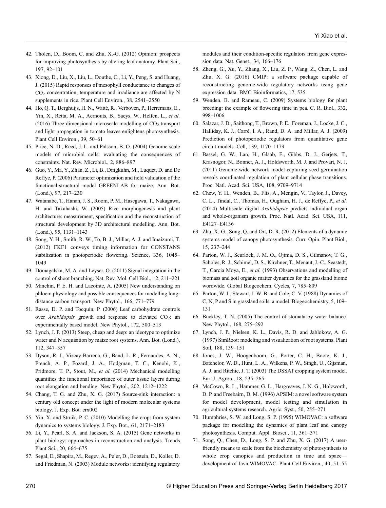- <span id="page-10-0"></span>42. Tholen, D., Boom, C. and Zhu, X.-G. (2012) Opinion: prospects for improving photosynthesis by altering leaf anatomy. Plant Sci., 197, 92–101
- 43. Xiong, D., Liu, X., Liu, L., Douthe, C., Li, Y., Peng, S. and Huang, J. (2015) Rapid responses of mesophyll conductance to changes of CO2 concentration, temperature and irradiance are affected by N supplements in rice. Plant Cell Environ., 38, 2541–2550
- 44. Ho, Q. T., Berghuijs, H. N., Watté, R., Verboven, P., Herremans, E., Yin, X., Retta, M. A., Aernouts, B., Saeys, W., Helfen, L., et al. (2016) Three-dimensional microscale modelling of  $CO<sub>2</sub>$  transport and light propagation in tomato leaves enlightens photosynthesis. Plant Cell Environ., 39, 50–61
- 45. Price, N. D., Reed, J. L. and Palsson, B. O. (2004) Genome-scale models of microbial cells: evaluating the consequences of constraints. Nat. Rev. Microbiol., 2, 886–897
- 46. Guo, Y., Ma, Y., Zhan, Z., Li, B., Dingkuhn, M., Luquet, D. and De Reffye, P. (2006) Parameter optimization and field validation of the functional-structural model GREENLAB for maize. Ann. Bot. (Lond.), 97, 217–230
- 47. Watanabe, T., Hanan, J. S., Room, P. M., Hasegawa, T., Nakagawa, H. and Takahashi, W. (2005) Rice morphogenesis and plant architecture: measurement, specification and the reconstruction of structural development by 3D architectural modelling. Ann. Bot. (Lond.), 95, 1131–1143
- 48. Song, Y. H., Smith, R. W., To, B. J., Millar, A. J. and Imaizumi, T. (2012) FKF1 conveys timing information for CONSTANS stabilization in photoperiodic flowering. Science, 336, 1045– 1049
- 49. Domagalska, M. A. and Leyser, O. (2011) Signal integration in the control of shoot branching. Nat. Rev. Mol. Cell Biol., 12, 211–221
- 50. Minchin, P. E. H. and Lacointe, A. (2005) New understanding on phloem physiology and possible consequences for modelling longdistance carbon transport. New Phytol., 166, 771–779
- 51. Rasse, D. P. and Tocquin, P. (2006) Leaf carbohydrate controls over *Arabidopsis* growth and response to elevated  $CO<sub>2</sub>$ : an experimentally based model. New Phytol., 172, 500–513
- 52. Lynch, J. P. (2013) Steep, cheap and deep: an ideotype to optimize water and N acquisition by maize root systems. Ann. Bot. (Lond.), 112, 347–357
- 53. Dyson, R. J., Vizcay-Barrena, G., Band, L. R., Fernandes, A. N., French, A. P., Fozard, J. A., Hodgman, T. C., Kenobi, K., Pridmore, T. P., Stout, M., et al. (2014) Mechanical modelling quantifies the functional importance of outer tissue layers during root elongation and bending. New Phytol., 202, 1212–1222
- 54. Chang, T. G. and Zhu, X. G. (2017) Source-sink interaction: a century old concept under the light of modern molecular systems biology. J. Exp. Bot. erx002
- 55. Yin, X. and Struik, P. C. (2010) Modelling the crop: from system dynamics to systems biology. J. Exp. Bot., 61, 2171–2183
- 56. Li, Y., Pearl, S. A. and Jackson, S. A. (2015) Gene networks in plant biology: approaches in reconstruction and analysis. Trends Plant Sci., 20, 664–675
- 57. Segal, E., Shapira, M., Regev, A., Pe'er, D., Botstein, D., Koller, D. and Friedman, N. (2003) Module networks: identifying regulatory

modules and their condition-specific regulators from gene expression data. Nat. Genet., 34, 166–176

- 58. Zheng, G., Xu, Y., Zhang, X., Liu, Z. P., Wang, Z., Chen, L. and Zhu, X. G. (2016) CMIP: a software package capable of reconstructing genome-wide regulatory networks using gene expression data. BMC Bioinformatics, 17, 535
- 59. Wenden, B. and Rameau, C. (2009) Systems biology for plant breeding: the example of flowering time in pea. C. R. Biol., 332, 998–1006
- 60. Salazar, J. D., Saithong, T., Brown, P. E., Foreman, J., Locke, J. C., Halliday, K. J., Carré, I. A., Rand, D. A. and Millar, A. J. (2009) Prediction of photoperiodic regulators from quantitative gene circuit models. Cell, 139, 1170–1179
- 61. Bassel, G. W., Lan, H., Glaab, E., Gibbs, D. J., Gerjets, T., Krasnogor, N., Bonner, A. J., Holdsworth, M. J. and Provart, N. J. (2011) Genome-wide network model capturing seed germination reveals coordinated regulation of plant cellular phase transitions. Proc. Natl. Acad. Sci. USA, 108, 9709–9714
- 62. Chew, Y. H., Wenden, B., Flis, A., Mengin, V., Taylor, J., Davey, C. L., Tindal, C., Thomas, H., Ougham, H. J., de Reffye, P., et al. (2014) Multiscale digital Arabidopsis predicts individual organ and whole-organism growth. Proc. Natl. Acad. Sci. USA, 111, E4127–E4136
- 63. Zhu, X.-G., Song, Q. and Ort, D. R. (2012) Elements of a dynamic systems model of canopy photosynthesis. Curr. Opin. Plant Biol., 15, 237–244
- 64. Parton, W. J., Scurlock, J. M. O., Ojima, D. S., Gilmanov, T. G., Scholes, R. J., Schimel, D. S., Kirchner, T., Menaut, J.-C., Seastedt, T., Garcia Moya, E., et al. (1993) Observations and modelling of biomass and soil organic matter dynamics for the grassland biome wordwide. Global Biogeochem. Cycles, 7, 785–809
- 65. Parton, W. J., Stewart, J. W. B. and Cole, C. V. (1988) Dynamics of C, N, P and S in grassland soils: a model. Biogeochemistry, 5, 109– 131
- 66. Buckley, T. N. (2005) The control of stomata by water balance. New Phytol., 168, 275–292
- 67. Lynch, J. P., Nielsen, K. L., Davis, R. D. and Jablokow, A. G. (1997) SimRoot: modeling and visualization of root systems. Plant Soil, 188, 139–151
- 68. Jones, J. W., Hoogenboom, G., Porter, C. H., Boote, K. J., Batchelor, W. D., Hunt, L. A., Wilkens, P. W., Singh, U., Gijsman, A. J. and Ritchie, J. T. (2003) The DSSAT cropping system model. Eur. J. Agron., 18, 235–265
- 69. McCown, R. L., Hammer, G. L., Hargreaves, J. N. G., Holzworth, D. P. and Freebairn, D. M. (1996) APSIM: a novel software system for model development, model testing and simulation in agricultural systems research. Agric. Syst., 50, 255–271
- 70. Humphries, S. W. and Long, S. P. (1995) WIMOVAC: a software package for modelling the dynamics of plant leaf and canopy photosynthesis. Comput. Appl. Biosci., 11, 361–371
- 71. Song, Q., Chen, D., Long, S. P. and Zhu, X. G. (2017) A userfriendly means to scale from the biochemistry of photosynthesis to whole crop canopies and production in time and space development of Java WIMOVAC. Plant Cell Environ., 40, 51–55